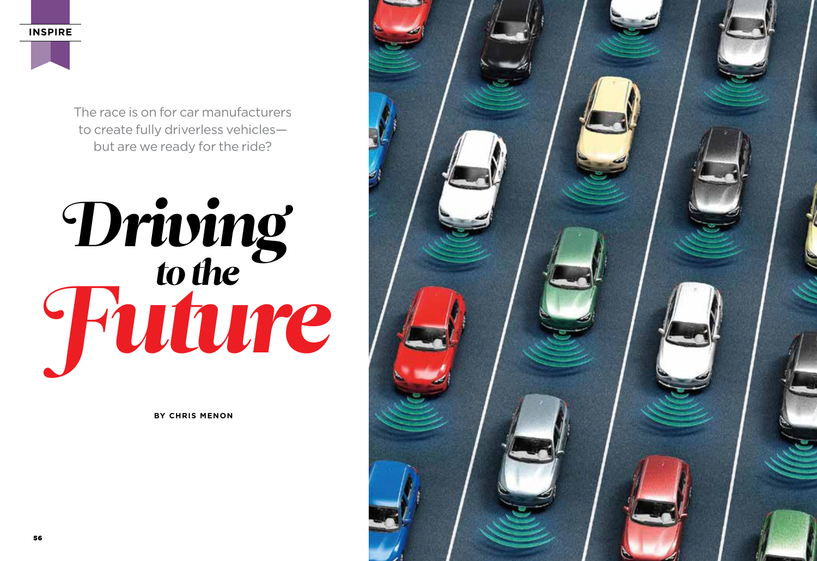**INSPIRE**



# *to the* Driving Future

**BY CHRIS MENON**

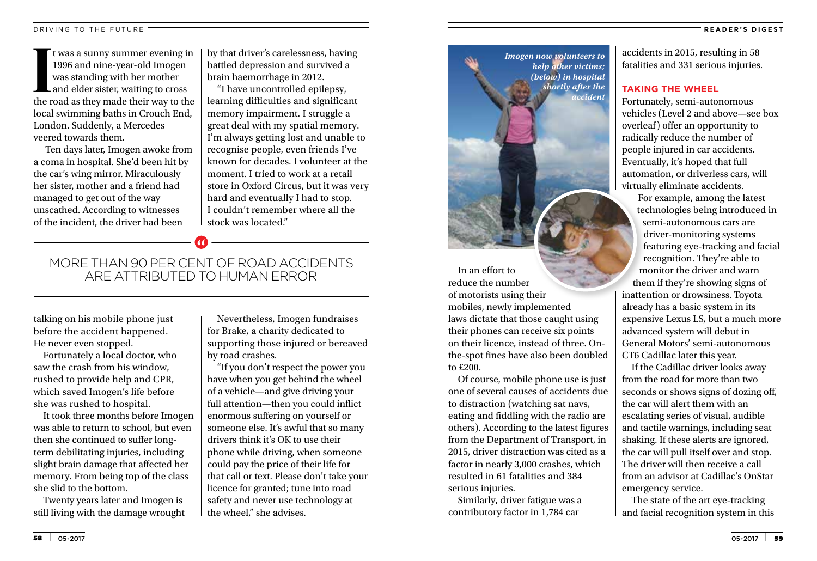#### **READER'S DIGEST**

It was a sunny summer evening in<br>1996 and nine-year-old Imogen<br>was standing with her mother<br>and elder sister, waiting to cross<br>the road as they made their way to the t was a sunny summer evening in 1996 and nine-year-old Imogen was standing with her mother and elder sister, waiting to cross local swimming baths in Crouch End, London. Suddenly, a Mercedes veered towards them.

 Ten days later, Imogen awoke from a coma in hospital. She'd been hit by the car's wing mirror. Miraculously her sister, mother and a friend had managed to get out of the way unscathed. According to witnesses of the incident, the driver had been

by that driver's carelessness, having battled depression and survived a brain haemorrhage in 2012.

"I have uncontrolled epilepsy, learning difficulties and significant memory impairment. I struggle a great deal with my spatial memory. I'm always getting lost and unable to recognise people, even friends I've known for decades. I volunteer at the moment. I tried to work at a retail store in Oxford Circus, but it was very hard and eventually I had to stop. I couldn't remember where all the stock was located."

## MORE THAN 90 PER CENT OF ROAD ACCIDENTS ARE ATTRIBUTED TO HUMAN ERROR

talking on his mobile phone just before the accident happened. He never even stopped.

Fortunately a local doctor, who saw the crash from his window, rushed to provide help and CPR, which saved Imogen's life before she was rushed to hospital.

It took three months before Imogen was able to return to school, but even then she continued to suffer longterm debilitating injuries, including slight brain damage that affected her memory. From being top of the class she slid to the bottom.

Twenty years later and Imogen is still living with the damage wrought

Nevertheless, Imogen fundraises for Brake, a charity dedicated to supporting those injured or bereaved by road crashes.

"If you don't respect the power you have when you get behind the wheel of a vehicle—and give driving your full attention—then you could inflict enormous suffering on yourself or someone else. It's awful that so many drivers think it's OK to use their phone while driving, when someone could pay the price of their life for that call or text. Please don't take your licence for granted; tune into road safety and never use technology at the wheel," she advises.



In an effort to reduce the number of motorists using their mobiles, newly implemented laws dictate that those caught using their phones can receive six points on their licence, instead of three. Onthe-spot fines have also been doubled to £200.

Of course, mobile phone use is just one of several causes of accidents due to distraction (watching sat navs, eating and fiddling with the radio are others). According to the latest figures from the Department of Transport, in 2015, driver distraction was cited as a factor in nearly 3,000 crashes, which resulted in 61 fatalities and 384 serious injuries.

Similarly, driver fatigue was a contributory factor in 1,784 car

accidents in 2015, resulting in 58 fatalities and 331 serious injuries.

## **TAKING THE WHEEL**

Fortunately, semi-autonomous vehicles (Level 2 and above—see box overleaf) offer an opportunity to radically reduce the number of people injured in car accidents. Eventually, it's hoped that full automation, or driverless cars, will virtually eliminate accidents.

For example, among the latest technologies being introduced in semi-autonomous cars are driver-monitoring systems featuring eye-tracking and facial recognition. They're able to monitor the driver and warn them if they're showing signs of inattention or drowsiness. Toyota already has a basic system in its expensive Lexus LS, but a much more advanced system will debut in General Motors' semi-autonomous CT6 Cadillac later this year.

If the Cadillac driver looks away from the road for more than two seconds or shows signs of dozing off, the car will alert them with an escalating series of visual, audible and tactile warnings, including seat shaking. If these alerts are ignored, the car will pull itself over and stop. The driver will then receive a call from an advisor at Cadillac's OnStar emergency service.

The state of the art eye-tracking and facial recognition system in this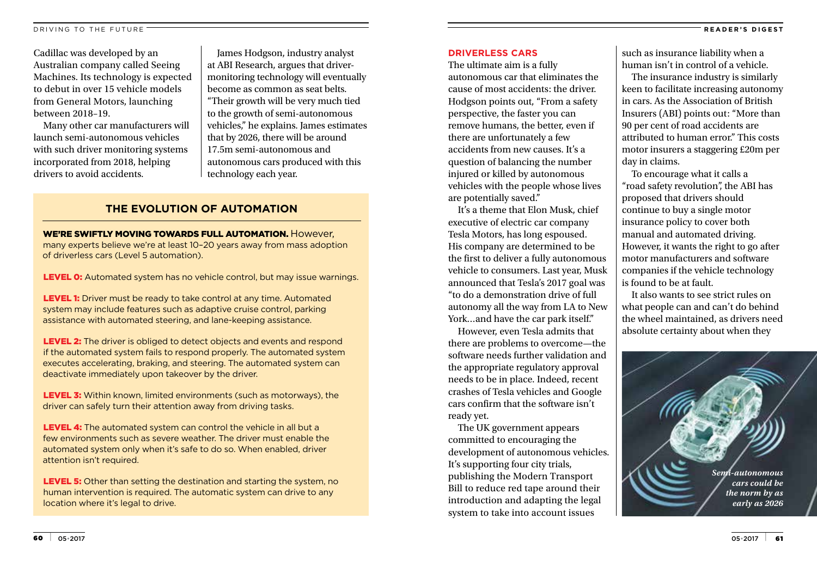Cadillac was developed by an Australian company called Seeing Machines. Its technology is expected to debut in over 15 vehicle models from General Motors, launching between 2018–19.

Many other car manufacturers will launch semi-autonomous vehicles with such driver monitoring systems incorporated from 2018, helping drivers to avoid accidents.

James Hodgson, industry analyst at ABI Research, argues that drivermonitoring technology will eventually become as common as seat belts. "Their growth will be very much tied to the growth of semi-autonomous vehicles," he explains. James estimates that by 2026, there will be around 17.5m semi-autonomous and autonomous cars produced with this technology each year.

## **THE EVOLUTION OF AUTOMATION**

# WE'RE SWIFTLY MOVING TOWARDS FULL AUTOMATION. However,

many experts believe we're at least 10–20 years away from mass adoption of driverless cars (Level 5 automation).

LEVEL 0: Automated system has no vehicle control, but may issue warnings.

LEVEL 1: Driver must be ready to take control at any time. Automated system may include features such as adaptive cruise control, parking assistance with automated steering, and lane-keeping assistance.

LEVEL 2: The driver is obliged to detect objects and events and respond if the automated system fails to respond properly. The automated system executes accelerating, braking, and steering. The automated system can deactivate immediately upon takeover by the driver.

LEVEL 3: Within known, limited environments (such as motorways), the driver can safely turn their attention away from driving tasks.

**LEVEL 4:** The automated system can control the vehicle in all but a few environments such as severe weather. The driver must enable the automated system only when it's safe to do so. When enabled, driver attention isn't required.

LEVEL 5: Other than setting the destination and starting the system, no human intervention is required. The automatic system can drive to any location where it's legal to drive.

### **DRIVERLESS CARS**

The ultimate aim is a fully autonomous car that eliminates the cause of most accidents: the driver. Hodgson points out, "From a safety perspective, the faster you can remove humans, the better, even if there are unfortunately a few accidents from new causes. It's a question of balancing the number injured or killed by autonomous vehicles with the people whose lives are potentially saved."

It's a theme that Elon Musk, chief executive of electric car company Tesla Motors, has long espoused. His company are determined to be the first to deliver a fully autonomous vehicle to consumers. Last year, Musk announced that Tesla's 2017 goal was "to do a demonstration drive of full autonomy all the way from LA to New York…and have the car park itself."

However, even Tesla admits that there are problems to overcome—the software needs further validation and the appropriate regulatory approval needs to be in place. Indeed, recent crashes of Tesla vehicles and Google cars confirm that the software isn't ready yet.

The UK government appears committed to encouraging the development of autonomous vehicles. It's supporting four city trials, publishing the Modern Transport Bill to reduce red tape around their introduction and adapting the legal system to take into account issues

such as insurance liability when a human isn't in control of a vehicle.

The insurance industry is similarly keen to facilitate increasing autonomy in cars. As the Association of British Insurers (ABI) points out: "More than 90 per cent of road accidents are attributed to human error." This costs motor insurers a staggering £20m per day in claims.

To encourage what it calls a "road safety revolution", the ABI has proposed that drivers should continue to buy a single motor insurance policy to cover both manual and automated driving. However, it wants the right to go after motor manufacturers and software companies if the vehicle technology is found to be at fault.

It also wants to see strict rules on what people can and can't do behind the wheel maintained, as drivers need absolute certainty about when they